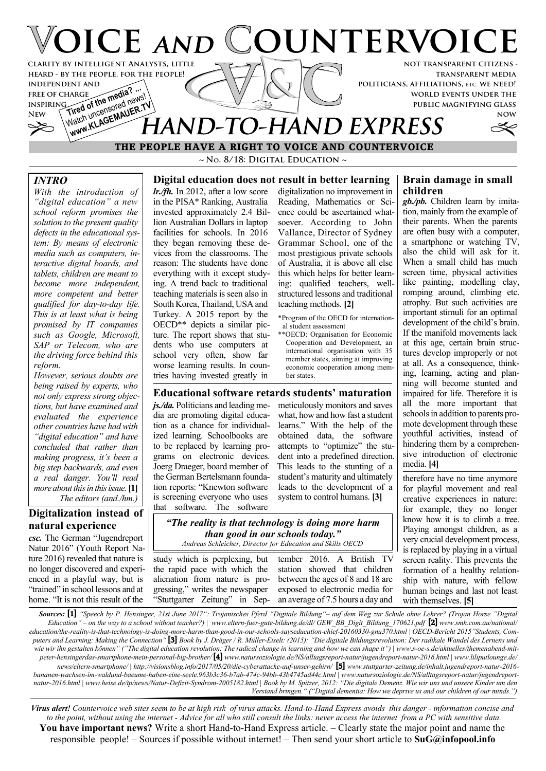

# **THE PEOPLE HAVE A RIGHT TO VOICE AND COUNTERVOICE**

**~ No. 8/18: Digital Education ~**

# *INTRO*

*With the introduction of "digital education" a new school reform promises the solution to the present quality defects in the educational system: By means of electronic media such as computers, interactive digital boards, and tablets, children are meant to become more independent, more competent and better qualified for day-to-day life. This is at least what is being promised by IT companies such as Google, Microsoft, SAP or Telecom, who are the driving force behind this reform.*

*However, serious doubts are being raised by experts, who not only express strong objections, but have examined and evaluated the experience other countries have had with "digital education" and have concluded that rather than making progress, it's been a big step backwards, and even a real danger. You'll read more about this in this issue.***[1]** *The editors (and./hm.)*

# **Digitalization instead of natural experience**

*csc.* The German "Jugendreport Natur 2016" (Youth Report Nature 2016) revealed that nature is no longer discovered and experienced in a playful way, but is "trained" in school lessons and at home. "It is not this result of the

# **Digital education does not result in better learning**

*lr./fh.* In 2012, after a low score in the PISA\* Ranking, Australia invested approximately 2.4 Billion Australian Dollars in laptop facilities for schools. In 2016 they began removing these devices from the classrooms. The reason: The students have done everything with it except studying. A trend back to traditional teaching materials is seen also in South Korea, Thailand, USA and Turkey. A 2015 report by the OECD\*\* depicts a similar picture. The report shows that students who use computers at school very often, show far worse learning results. In countries having invested greatly in

digitalization no improvement in Reading, Mathematics or Science could be ascertained whatsoever. According to John Vallance, Director of Sydney Grammar School, one of the most prestigious private schools of Australia, it is above all else this which helps for better learning: qualified teachers, wellstructured lessons and traditional teaching methods. **[2]**

- \*Program of the OECD for international student assessment
- \*\*OECD: Organisation for Economic Cooperation and Development, an international organisation with 35 member states, aiming at improving economic cooperation among member states.

## **Educational software retards students' maturation**

*js./da.* Politicians and leading media are promoting digital education as a chance for individualized learning. Schoolbooks are to be replaced by learning programs on electronic devices. Joerg Draeger, board member of the German Bertelsmann foundation reports: "Knewton software is screening everyone who uses that software. The software

meticulously monitors and saves what, how and how fast a student learns." With the help of the obtained data, the software attempts to "optimize" the student into a predefined direction. This leads to the stunting of a student's maturity and ultimately leads to the development of a system to control humans. **[3]**

## **Brain damage in small children**

*gb./pb.* Children learn by imitation, mainly from the example of their parents. When the parents are often busy with a computer, a smartphone or watching TV, also the child will ask for it. When a small child has much screen time, physical activities like painting, modelling clay, romping around, climbing etc. atrophy. But such activities are important stimuli for an optimal development of the child's brain. If the manifold movements lack at this age, certain brain structures develop improperly or not at all. As a consequence, thinking, learning, acting and planning will become stunted and impaired for life. Therefore it is all the more important that schools in addition to parents promote development through these youthful activities, instead of hindering them by a comprehensive introduction of electronic media. **[4]**

therefore have no time anymore for playful movement and real creative experiences in nature: for example, they no longer know how it is to climb a tree. Playing amongst children, as a very crucial development process, is replaced by playing in a virtual screen reality. This prevents the formation of a healthy relationship with nature, with fellow human beings and last not least with themselves. **[5]**

*"The reality is that technology is doing more harm than good in our schools today." Andreas Schleicher, Director for Education and Skills OECD*

study which is perplexing, but the rapid pace with which the alienation from nature is progressing," writes the newspaper "Stuttgarter Zeitung" in September 2016. A British TV station showed that children between the ages of 8 and 18 are exposed to electronic media for an average of 7.5 hours a day and

*Sources:* **[1]** *"Speech by P. Hensinger, 21st June 2017": Trojanisches Pferd "Digitale Bildung"– auf dem Weg zur Schule ohne Lehrer? (Trojan Horse "Digital Education" – on the way to a school without teacher?) | www.eltern-fuer-gute-bildung.de/dl/ GEW\_BB\_Digit\_Bildung\_170621.pdf* **[2]** *www.smh.com.au/national/ education/the-reality-is-that-technology-is-doing-more-harm-than-good-in-our-schools-sayseducation-chief-20160330-gnu370.html | OECD-Bericht 2015"Students, Computers and Learning: Making the Connection"* **[3]** *Book by J. Dräger / R. Müller-Eiselt: (2015): "Die digitale Bildungsrevolution: Der radikale Wandel des Lernens und wie wir ihn gestalten können" ("The digital education revolution: The radical change in learning and how we can shape it") | www.s-oe-s.de/aktuelles/themenabend-mitpeter-hensingerdas-smartphone-mein-personal-big-brother/* **[4]** *www.natursoziologie.de/NS/alltagsreport-natur/jugendreport-natur-2016.html | www.liliputlounge.de/ news/eltern-smartphone/ | http://visionsblog.info/2017/05/20/die-cyberattacke-auf-unser-gehirn/* **[5]** *www.stuttgarter-zeitung.de/inhalt.jugendreport-natur-2016 bananen-wachsen-im-waldund-baeume-haben-eine-seele.963b3c36-b7ab-474c-94bb-43b4745ad44c.html | www.natursoziologie.de/NS/alltagsreport-natur/jugendreportnatur-2016.html | www.heise.de/tp/news/Natur-Defizit-Syndrom-2005182.html | Book by M. Spitzer, 2012: "Die digitale Demenz. Wie wir uns und unsere Kinder um den Verstand bringen." ("Digital dementia: How we deprive us and our children of our minds.")*

*Virus alert! Countervoice web sites seem to be at high risk of virus attacks. Hand-to-Hand Express avoids this danger - information concise and to the point, without using the internet - Advice for all who still consult the links: never access the internet from a PC with sensitive data.* **You have important news?** Write a short Hand-to-Hand Express article. – Clearly state the major point and name the responsible people! – Sources if possible without internet! – Then send your short article to **SuG@infopool.info**